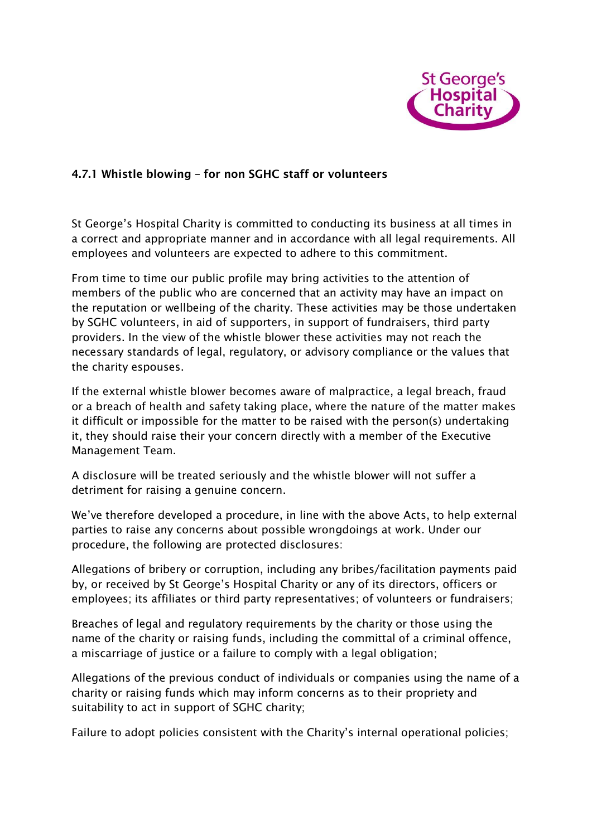

## **4.7.1 Whistle blowing – for non SGHC staff or volunteers**

St George's Hospital Charity is committed to conducting its business at all times in a correct and appropriate manner and in accordance with all legal requirements. All employees and volunteers are expected to adhere to this commitment.

From time to time our public profile may bring activities to the attention of members of the public who are concerned that an activity may have an impact on the reputation or wellbeing of the charity. These activities may be those undertaken by SGHC volunteers, in aid of supporters, in support of fundraisers, third party providers. In the view of the whistle blower these activities may not reach the necessary standards of legal, regulatory, or advisory compliance or the values that the charity espouses.

If the external whistle blower becomes aware of malpractice, a legal breach, fraud or a breach of health and safety taking place, where the nature of the matter makes it difficult or impossible for the matter to be raised with the person(s) undertaking it, they should raise their your concern directly with a member of the Executive Management Team.

A disclosure will be treated seriously and the whistle blower will not suffer a detriment for raising a genuine concern.

We've therefore developed a procedure, in line with the above Acts, to help external parties to raise any concerns about possible wrongdoings at work. Under our procedure, the following are protected disclosures:

Allegations of bribery or corruption, including any bribes/facilitation payments paid by, or received by St George's Hospital Charity or any of its directors, officers or employees; its affiliates or third party representatives; of volunteers or fundraisers;

Breaches of legal and regulatory requirements by the charity or those using the name of the charity or raising funds, including the committal of a criminal offence, a miscarriage of justice or a failure to comply with a legal obligation;

Allegations of the previous conduct of individuals or companies using the name of a charity or raising funds which may inform concerns as to their propriety and suitability to act in support of SGHC charity;

Failure to adopt policies consistent with the Charity's internal operational policies;